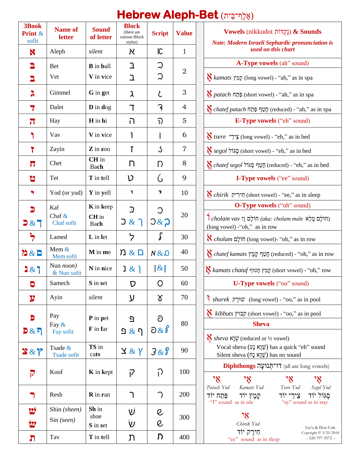| 3Book<br>Print &<br>sofit | <b>Name of</b><br>letter         | <b>Sound</b><br>of letter            | <b>Block</b><br>(there are<br>various Block<br>styles) | <b>Script</b>                  | <b>Value</b>   | <b>Vowels</b> (nikkudot נְקְדּוֹת) & Sounds<br>Note: Modern Israeli Sephardic pronunciation i<br>used on this chart                                   |
|---------------------------|----------------------------------|--------------------------------------|--------------------------------------------------------|--------------------------------|----------------|-------------------------------------------------------------------------------------------------------------------------------------------------------|
| X                         | Aleph                            | silent                               | K                                                      | $\overline{\mathsf{C}}$        | $\mathbf{1}$   |                                                                                                                                                       |
| E<br>ב                    | <b>Bet</b><br>Vet                | <b>B</b> in <b>ball</b><br>V in vice | ℶ<br>ב                                                 | $\mathcal{D}$<br>つ             | $\overline{2}$ | A-Type vowels (ah" sound)<br><b>N</b> kamats קָמַץ (long vowel) - "ah," as in spa                                                                     |
| λ                         | Gimmel                           | G in get                             | λ                                                      | と                              | 3              | מת (short vowel) - "ah," as in spa                                                                                                                    |
| 7                         | Dalet                            | $\mathbf{D}$ in dog                  | ד                                                      | $\mathcal{E}$                  | 4              | h," as in spa" - יְמֵךְ פַּתַח (reduced) - "ah," as in spa                                                                                            |
| $\overline{\mathbf{u}}$   | Hay                              | H in hi                              | ה                                                      | $\mathfrak{D}$                 | 5              | <b>E-Type vowels</b> ("eh" sound)                                                                                                                     |
|                           | Vav                              | V in vice                            | ı                                                      |                                | 6              | <i>K tsere</i> 'בֵירֵל (long vowel) - "eh," as in bed                                                                                                 |
| ነ                         | Zayin                            | Z in zoo                             | $\overline{1}$                                         | $\mathcal{S}_{0}$              | $\overline{7}$ | §segol <i>לגוֹל (short vowel)</i> - "eh," as in bed                                                                                                   |
| $\overline{\mathbf{u}}$   | Chet                             | CH in<br><b>Bach</b>                 | D                                                      | Ŋ                              | 8              | A chatef segol חָטֵף הָגּוֹל (reduced) - "eh," as in bed                                                                                              |
| ิษ                        | Tet                              | T in tell                            | V                                                      | $\mathcal{C}$                  | 9              | I-Type vowels ("ee" sound)                                                                                                                            |
| י                         | Yod (or yud)                     | Y in yell                            | י                                                      | $\overline{\phantom{a}}$       | 10             | $\sum$ chirik היריק (short vowel) - "ee," as in sleep                                                                                                 |
| $\mathbf{D}$<br>5 & 7     | Kaf<br>Chaf $\&$<br>Chaf sofit   | K in keep<br>CH in<br><b>Bach</b>    | $\mathbf{D}$<br>$\supset \&$<br>่า                     | С<br>7&2                       | 20             | <b>O-Type vowels</b> ("oh" sound)<br>$\mathsf{I}$ cholam vav הוֹלָם וָוֹ (aka: cholam male הוֹלְם מָלֵא<br>(long vowel) - "oh," as in row             |
| $\overline{z}$            | Lamed                            | L in let                             | っ                                                      | $\int$                         | 30             | $\boldsymbol{\aleph}$ cholam הוֹלָם (long vowel)- "oh," as in row                                                                                     |
| 282                       | Mem $&$<br>Mem sofit             | M in me                              | n & n                                                  | N & D                          | 40             | <b>K</b> chatef kamats חֲטֵף קָמָץ (reduced) - "oh," as in rov                                                                                        |
| 287                       | Nun <i>noon</i> )<br>& Nun sofit | N in nice                            | ן & נ                                                  | $\lvert \mathcal{X} \rvert$    | 50             | $\bigvee\hspace{-0.15cm}\setminus$ kamats chatuf קְמַץ חָטוּף (short vowel) - "oh," row                                                               |
| þ                         | Samech                           | S in set                             | $\mathcal{D}$                                          | O                              | 60             | U-Type vowels ("oo" sound)                                                                                                                            |
| $\boldsymbol{y}$          | Ayin                             | silent                               | y                                                      | γ                              | 70             | $\mathbf{E}$ shurek ווּרַק (long vowel) - "oo," as in pool                                                                                            |
| Ð<br>B & B                | Pay<br>Fay &<br>Fay sofit        | P in pet<br>F in far                 | $\Omega$<br><u>ጋ &amp;</u> ገ                           | ට<br>$\partial \&\ \theta$     | 80             | <i>K kibbuts</i> $\sqrt{2}$ (short vowel) - "00," as in pool<br><b>Sheva</b><br><i>N</i> sheva $\aleph \psi$ (reduced or 1/2 vowel)                   |
| 387                       | Tsade &<br>Tsade sofit           | TS in<br>cats                        | $\angle$ & $\angle$                                    | 388                            | 90             | Vocal sheva (שָׁוָא נָע) has a quick "eh" sound<br>Silent sheva (שְׁוָא נָה) has no sound                                                             |
| $\overline{P}$            | Koof                             | <b>K</b> in kept                     | $\overline{I}$                                         | $\bigcap$                      | 100            | Diphthongs רו־תְנוּעָה (all are long vowels)<br>"<br>$\mathbf{X}$<br>"<br>٦Ķ                                                                          |
| ר                         | Resh                             | R in ran                             | ٦                                                      | $\bigcap$                      | 200            | Tsere Yod<br>Kamats Yod<br>Patach Yod<br>Segol Yod<br>סגול יוד<br>צירי יוד<br>פתח יוד<br>קַמָּץ יוֹד<br>"I" sound as in isle<br>"ay" sound as in stay |
| יש<br><u>12</u>           | Shin (sheen)<br>$Sin$ (seen)     | Sh in<br>shoe<br>S in set            | V<br>$\mathsf{\dot{V}}$                                | $\mathcal{C}$<br>$\mathcal{C}$ | 300            | 7X<br>Chirek Yod<br>Les'a & Don C                                                                                                                     |
| ת                         | Tav                              | T in tell                            | J                                                      | D.                             | 400            | חירק יוד<br>Copyright © 3/25/<br>-- 520-797-3572<br>"ee" sound as in sleep                                                                            |

# (אָ לֶף־בֵּ ית) **Bet-Aleph Hebrew**

| <b>Sound</b><br>of letter           | БІОСК<br>(there are<br>various Block<br>styles) | <b>Script</b>            | <b>Value</b>   | <b>Vowels</b> (nikkudot נִקְדּוֹת) & Sounds                                                                                                                                    |  |  |
|-------------------------------------|-------------------------------------------------|--------------------------|----------------|--------------------------------------------------------------------------------------------------------------------------------------------------------------------------------|--|--|
| silent                              | K                                               | IC                       | $\mathbf{1}$   | Note: Modern Israeli Sephardic pronunciation is<br>used on this chart                                                                                                          |  |  |
| <b>B</b> in ball                    | ב                                               | ္ဘ                       |                | A-Type vowels (ah" sound)                                                                                                                                                      |  |  |
| V in vice                           | ב                                               | $\mathfrak{D}$           | 2              | <b><i>N kamats</i></b> קמץ (long vowel) - "ah," as in spa                                                                                                                      |  |  |
| G in get                            | λ                                               | と                        | 3              | ∆ <i>patach</i> פּתַח (short vowel) - "ah," as in spa                                                                                                                          |  |  |
| $\mathbf{D}$ in dog                 | ד                                               | ာ                        | 4              | M <i>chatef patach</i> הַטֵּף פַּתַח (reduced) - "ah," as in spa                                                                                                               |  |  |
| $H$ in $h$ i                        | ה                                               | ည                        | 5              | <b>E-Type vowels</b> ("eh" sound)                                                                                                                                              |  |  |
| V in vice                           | ן                                               |                          | 6              | <i>K tsere</i> 'בֵירֵי' (long vowel) - "eh," as in bed                                                                                                                         |  |  |
| $\mathbf{Z}$ in $\mathbf{z}$ oo     | $\mathbf{r}$                                    | $\mathcal{S}_{0}$        | $\overline{7}$ | Segol אֲגוֹל (short vowel) - "eh," as in bed                                                                                                                                   |  |  |
| $CH$ in<br><b>Bach</b>              | n                                               | D                        | 8              | A chatef segol חֲטֵף םֶגּוֹל (reduced) - "eh," as in bed                                                                                                                       |  |  |
| T in tell                           | V                                               | G                        | 9              | <b>I-Type vowels</b> ("ee" sound)                                                                                                                                              |  |  |
| Y in yell                           | <sup>1</sup>                                    | $\overline{\phantom{a}}$ | 10             | <i>N chirik</i> הִירִיק (short vowel) - "ee," as in sleep                                                                                                                      |  |  |
| <b>K</b> in keep<br>$CH$ in<br>Bach | $\supset$<br>ך & כ                              | С<br>7 & 2               | 20             | <b>O-Type vowels</b> ("oh" sound)<br>ר cholam vav חוֹלָם מַלְא (aka: cholam male הוֹ<br>(long vowel) - "oh," as in row                                                         |  |  |
| <b>L</b> in let                     | っ                                               | ∫                        | 30             | $\boldsymbol{\aleph}$ <i>cholam</i> הוֹלָם (long vowel)- "oh," as in row                                                                                                       |  |  |
| M in me                             | n & n                                           | N & D                    | 40             | $\bigvee\limits_{\longrightarrow}$ chatef kamats מְמָץ קָמָץ (reduced) - "oh," as in row                                                                                       |  |  |
| N in nice                           | <b>1&amp;1</b>                                  | $\lvert \& \rvert$       | 50             | $\sum$ kamats chatuf קְמַץ חָטוּף (short vowel) - "oh," row                                                                                                                    |  |  |
| S in set                            | D                                               | $\overline{O}$           | 60             | U-Type vowels ("oo" sound)                                                                                                                                                     |  |  |
| silent                              | ע                                               | γ                        | 70             | $\mathbf{E}$ shurek יֹשוּרֵק (long vowel) - "oo," as in pool                                                                                                                   |  |  |
| P in pet<br>F in far                | $\overline{G}$<br><u>ጋ &amp;</u> ገ              | ට<br>$\partial \&\delta$ | 80             | <i>K kibbuts</i> קבוץ (short vowel) - "oo," as in pool<br><b>Sheva</b><br><i>N</i> sheva $\aleph \psi$ (reduced or 1/2 vowel)                                                  |  |  |
| TS in<br>cats                       | $\angle$ & $\angle$                             | 388                      | 90             | Vocal sheva (שְׁוָא נָע) has a quick "eh" sound<br>Silent sheva (עְוָא נָה) has no sound                                                                                       |  |  |
| <b>K</b> in kept                    | ק                                               | ဉ                        | 100            | Diphthongs רו־תְנוּעָה (all are long vowels)                                                                                                                                   |  |  |
| <b>R</b> in ran                     | ٦                                               |                          | 200            | 'ሻ<br>7X<br>7X<br>٦Ķ<br>Tsere Yod Segol Yod<br>Patach Yod<br>Kamats Yod<br>סֵגּוֹל יוֹד צֵירֵי יוֹד<br>פתח יוד<br>קַמָּץ יוֹד<br>"I" sound as in isle<br>"ay" sound as in stay |  |  |
| Sh in<br>shoe<br>S in set           | V<br>V                                          | e<br>e                   | 300            | ٦X<br>Chirek Yod<br>Les'a & Don Cole                                                                                                                                           |  |  |
| T in tell                           | ת                                               | D.                       | 400            | חִירֵק יוֹד<br>Copyright © 3/25/2018<br>-- 520-797-3572 --<br>"ee" sound as in sleep                                                                                           |  |  |